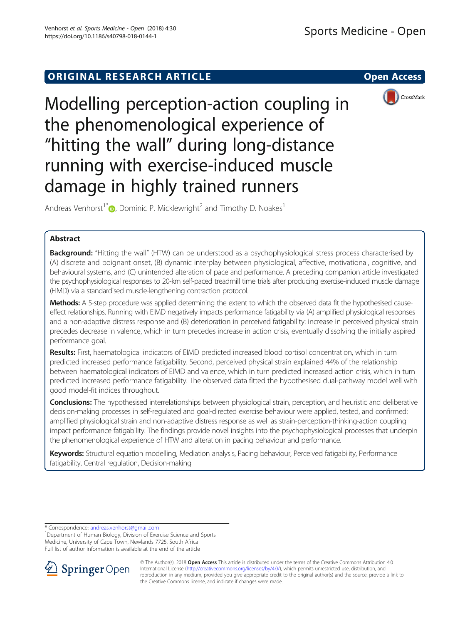# ORIGINAL RESEARCH ARTICLE **External in the Second Access**



Modelling perception-action coupling in the phenomenological experience of "hitting the wall" during long-distance running with exercise-induced muscle damage in highly trained runners

Andreas Venhorst<sup>1[\\*](http://orcid.org/0000-0002-9793-6985)</sup>  $\bullet$ , Dominic P. Micklewright<sup>2</sup> and Timothy D. Noakes<sup>1</sup>

## Abstract

**Background:** "Hitting the wall" (HTW) can be understood as a psychophysiological stress process characterised by (A) discrete and poignant onset, (B) dynamic interplay between physiological, affective, motivational, cognitive, and behavioural systems, and (C) unintended alteration of pace and performance. A preceding companion article investigated the psychophysiological responses to 20-km self-paced treadmill time trials after producing exercise-induced muscle damage (EIMD) via a standardised muscle-lengthening contraction protocol.

Methods: A 5-step procedure was applied determining the extent to which the observed data fit the hypothesised causeeffect relationships. Running with EIMD negatively impacts performance fatigability via (A) amplified physiological responses and a non-adaptive distress response and (B) deterioration in perceived fatigability: increase in perceived physical strain precedes decrease in valence, which in turn precedes increase in action crisis, eventually dissolving the initially aspired performance goal.

Results: First, haematological indicators of EIMD predicted increased blood cortisol concentration, which in turn predicted increased performance fatigability. Second, perceived physical strain explained 44% of the relationship between haematological indicators of EIMD and valence, which in turn predicted increased action crisis, which in turn predicted increased performance fatigability. The observed data fitted the hypothesised dual-pathway model well with good model-fit indices throughout.

Conclusions: The hypothesised interrelationships between physiological strain, perception, and heuristic and deliberative decision-making processes in self-regulated and goal-directed exercise behaviour were applied, tested, and confirmed: amplified physiological strain and non-adaptive distress response as well as strain-perception-thinking-action coupling impact performance fatigability. The findings provide novel insights into the psychophysiological processes that underpin the phenomenological experience of HTW and alteration in pacing behaviour and performance.

Keywords: Structural equation modelling, Mediation analysis, Pacing behaviour, Perceived fatigability, Performance fatigability, Central regulation, Decision-making

\* Correspondence: [andreas.venhorst@gmail.com](mailto:andreas.venhorst@gmail.com) <sup>1</sup>

<sup>1</sup>Department of Human Biology, Division of Exercise Science and Sports Medicine, University of Cape Town, Newlands 7725, South Africa Full list of author information is available at the end of the article



© The Author(s). 2018 Open Access This article is distributed under the terms of the Creative Commons Attribution 4.0 International License ([http://creativecommons.org/licenses/by/4.0/\)](http://creativecommons.org/licenses/by/4.0/), which permits unrestricted use, distribution, and reproduction in any medium, provided you give appropriate credit to the original author(s) and the source, provide a link to the Creative Commons license, and indicate if changes were made.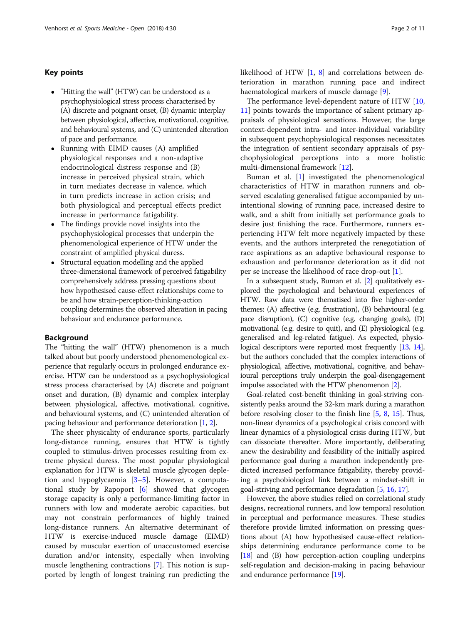## Key points

- "Hitting the wall" (HTW) can be understood as a psychophysiological stress process characterised by (A) discrete and poignant onset, (B) dynamic interplay between physiological, affective, motivational, cognitive, and behavioural systems, and (C) unintended alteration of pace and performance.
- Running with EIMD causes (A) amplified physiological responses and a non-adaptive endocrinological distress response and (B) increase in perceived physical strain, which in turn mediates decrease in valence, which in turn predicts increase in action crisis; and both physiological and perceptual effects predict increase in performance fatigability.
- The findings provide novel insights into the psychophysiological processes that underpin the phenomenological experience of HTW under the constraint of amplified physical duress.
- Structural equation modelling and the applied three-dimensional framework of perceived fatigability comprehensively address pressing questions about how hypothesised cause-effect relationships come to be and how strain-perception-thinking-action coupling determines the observed alteration in pacing behaviour and endurance performance.

### Background

The "hitting the wall" (HTW) phenomenon is a much talked about but poorly understood phenomenological experience that regularly occurs in prolonged endurance exercise. HTW can be understood as a psychophysiological stress process characterised by (A) discrete and poignant onset and duration, (B) dynamic and complex interplay between physiological, affective, motivational, cognitive, and behavioural systems, and (C) unintended alteration of pacing behaviour and performance deterioration [[1,](#page-9-0) [2](#page-9-0)].

The sheer physicality of endurance sports, particularly long-distance running, ensures that HTW is tightly coupled to stimulus-driven processes resulting from extreme physical duress. The most popular physiological explanation for HTW is skeletal muscle glycogen depletion and hypoglycaemia  $[3-5]$  $[3-5]$  $[3-5]$  $[3-5]$ . However, a computational study by Rapoport [[6\]](#page-9-0) showed that glycogen storage capacity is only a performance-limiting factor in runners with low and moderate aerobic capacities, but may not constrain performances of highly trained long-distance runners. An alternative determinant of HTW is exercise-induced muscle damage (EIMD) caused by muscular exertion of unaccustomed exercise duration and/or intensity, especially when involving muscle lengthening contractions [\[7](#page-9-0)]. This notion is supported by length of longest training run predicting the likelihood of HTW [[1](#page-9-0), [8\]](#page-9-0) and correlations between deterioration in marathon running pace and indirect haematological markers of muscle damage [[9\]](#page-9-0).

The performance level-dependent nature of HTW [[10](#page-9-0), [11\]](#page-9-0) points towards the importance of salient primary appraisals of physiological sensations. However, the large context-dependent intra- and inter-individual variability in subsequent psychophysiological responses necessitates the integration of sentient secondary appraisals of psychophysiological perceptions into a more holistic multi-dimensional framework [[12\]](#page-9-0).

Buman et al. [\[1](#page-9-0)] investigated the phenomenological characteristics of HTW in marathon runners and observed escalating generalised fatigue accompanied by unintentional slowing of running pace, increased desire to walk, and a shift from initially set performance goals to desire just finishing the race. Furthermore, runners experiencing HTW felt more negatively impacted by these events, and the authors interpreted the renegotiation of race aspirations as an adaptive behavioural response to exhaustion and performance deterioration as it did not per se increase the likelihood of race drop-out [\[1](#page-9-0)].

In a subsequent study, Buman et al. [[2](#page-9-0)] qualitatively explored the psychological and behavioural experiences of HTW. Raw data were thematised into five higher-order themes: (A) affective (e.g. frustration), (B) behavioural (e.g. pace disruption), (C) cognitive (e.g. changing goals), (D) motivational (e.g. desire to quit), and (E) physiological (e.g. generalised and leg-related fatigue). As expected, physio-logical descriptors were reported most frequently [\[13](#page-9-0), [14](#page-9-0)], but the authors concluded that the complex interactions of physiological, affective, motivational, cognitive, and behavioural perceptions truly underpin the goal-disengagement impulse associated with the HTW phenomenon [[2](#page-9-0)].

Goal-related cost-benefit thinking in goal-striving consistently peaks around the 32-km mark during a marathon before resolving closer to the finish line [[5,](#page-9-0) [8](#page-9-0), [15\]](#page-9-0). Thus, non-linear dynamics of a psychological crisis concord with linear dynamics of a physiological crisis during HTW, but can dissociate thereafter. More importantly, deliberating anew the desirability and feasibility of the initially aspired performance goal during a marathon independently predicted increased performance fatigability, thereby providing a psychobiological link between a mindset-shift in goal-striving and performance degradation [[5,](#page-9-0) [16,](#page-9-0) [17](#page-9-0)].

However, the above studies relied on correlational study designs, recreational runners, and low temporal resolution in perceptual and performance measures. These studies therefore provide limited information on pressing questions about (A) how hypothesised cause-effect relationships determining endurance performance come to be [[18](#page-9-0)] and (B) how perception-action coupling underpins self-regulation and decision-making in pacing behaviour and endurance performance [\[19\]](#page-9-0).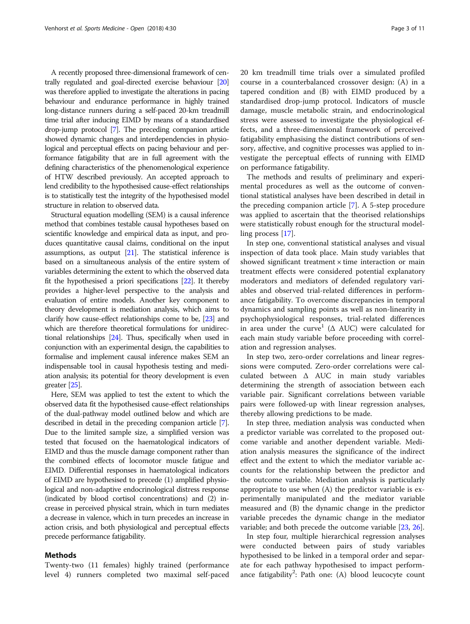A recently proposed three-dimensional framework of centrally regulated and goal-directed exercise behaviour [\[20](#page-9-0)] was therefore applied to investigate the alterations in pacing behaviour and endurance performance in highly trained long-distance runners during a self-paced 20-km treadmill time trial after inducing EIMD by means of a standardised drop-jump protocol [[7](#page-9-0)]. The preceding companion article showed dynamic changes and interdependencies in physiological and perceptual effects on pacing behaviour and performance fatigability that are in full agreement with the defining characteristics of the phenomenological experience of HTW described previously. An accepted approach to lend credibility to the hypothesised cause-effect relationships is to statistically test the integrity of the hypothesised model structure in relation to observed data.

Structural equation modelling (SEM) is a causal inference method that combines testable causal hypotheses based on scientific knowledge and empirical data as input, and produces quantitative causal claims, conditional on the input assumptions, as output [\[21](#page-9-0)]. The statistical inference is based on a simultaneous analysis of the entire system of variables determining the extent to which the observed data fit the hypothesised a priori specifications [[22](#page-9-0)]. It thereby provides a higher-level perspective to the analysis and evaluation of entire models. Another key component to theory development is mediation analysis, which aims to clarify how cause-effect relationships come to be, [\[23](#page-9-0)] and which are therefore theoretical formulations for unidirectional relationships [\[24](#page-9-0)]. Thus, specifically when used in conjunction with an experimental design, the capabilities to formalise and implement causal inference makes SEM an indispensable tool in causal hypothesis testing and mediation analysis; its potential for theory development is even greater [\[25\]](#page-9-0).

Here, SEM was applied to test the extent to which the observed data fit the hypothesised cause-effect relationships of the dual-pathway model outlined below and which are described in detail in the preceding companion article [[7](#page-9-0)]. Due to the limited sample size, a simplified version was tested that focused on the haematological indicators of EIMD and thus the muscle damage component rather than the combined effects of locomotor muscle fatigue and EIMD. Differential responses in haematological indicators of EIMD are hypothesised to precede (1) amplified physiological and non-adaptive endocrinological distress response (indicated by blood cortisol concentrations) and (2) increase in perceived physical strain, which in turn mediates a decrease in valence, which in turn precedes an increase in action crisis, and both physiological and perceptual effects precede performance fatigability.

## Methods

Twenty-two (11 females) highly trained (performance level 4) runners completed two maximal self-paced 20 km treadmill time trials over a simulated profiled course in a counterbalanced crossover design: (A) in a tapered condition and (B) with EIMD produced by a standardised drop-jump protocol. Indicators of muscle damage, muscle metabolic strain, and endocrinological stress were assessed to investigate the physiological effects, and a three-dimensional framework of perceived fatigability emphasising the distinct contributions of sensory, affective, and cognitive processes was applied to investigate the perceptual effects of running with EIMD on performance fatigability.

The methods and results of preliminary and experimental procedures as well as the outcome of conventional statistical analyses have been described in detail in the preceding companion article [\[7\]](#page-9-0). A 5-step procedure was applied to ascertain that the theorised relationships were statistically robust enough for the structural modelling process [\[17](#page-9-0)].

In step one, conventional statistical analyses and visual inspection of data took place. Main study variables that showed significant treatment × time interaction or main treatment effects were considered potential explanatory moderators and mediators of defended regulatory variables and observed trial-related differences in performance fatigability. To overcome discrepancies in temporal dynamics and sampling points as well as non-linearity in psychophysiological responses, trial-related differences in area under the curve<sup>1</sup> ( $\Delta$  AUC) were calculated for each main study variable before proceeding with correlation and regression analyses.

In step two, zero-order correlations and linear regressions were computed. Zero-order correlations were calculated between Δ AUC in main study variables determining the strength of association between each variable pair. Significant correlations between variable pairs were followed-up with linear regression analyses, thereby allowing predictions to be made.

In step three, mediation analysis was conducted when a predictor variable was correlated to the proposed outcome variable and another dependent variable. Mediation analysis measures the significance of the indirect effect and the extent to which the mediator variable accounts for the relationship between the predictor and the outcome variable. Mediation analysis is particularly appropriate to use when (A) the predictor variable is experimentally manipulated and the mediator variable measured and (B) the dynamic change in the predictor variable precedes the dynamic change in the mediator variable; and both precede the outcome variable [\[23,](#page-9-0) [26\]](#page-10-0).

In step four, multiple hierarchical regression analyses were conducted between pairs of study variables hypothesised to be linked in a temporal order and separate for each pathway hypothesised to impact performance fatigability<sup>2</sup>: Path one: (A) blood leucocyte count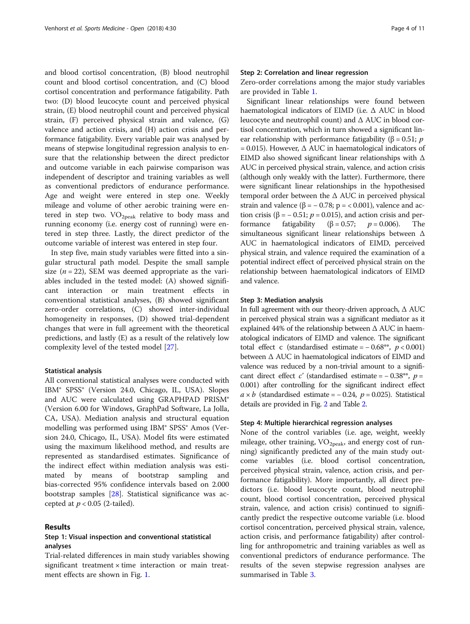and blood cortisol concentration, (B) blood neutrophil count and blood cortisol concentration, and (C) blood cortisol concentration and performance fatigability. Path two: (D) blood leucocyte count and perceived physical strain, (E) blood neutrophil count and perceived physical strain, (F) perceived physical strain and valence, (G) valence and action crisis, and (H) action crisis and performance fatigability. Every variable pair was analysed by means of stepwise longitudinal regression analysis to ensure that the relationship between the direct predictor and outcome variable in each pairwise comparison was independent of descriptor and training variables as well as conventional predictors of endurance performance. Age and weight were entered in step one. Weekly mileage and volume of other aerobic training were entered in step two.  $VO<sub>2peak</sub>$  relative to body mass and running economy (i.e. energy cost of running) were entered in step three. Lastly, the direct predictor of the outcome variable of interest was entered in step four.

In step five, main study variables were fitted into a singular structural path model. Despite the small sample size ( $n = 22$ ), SEM was deemed appropriate as the variables included in the tested model: (A) showed significant interaction or main treatment effects in conventional statistical analyses, (B) showed significant zero-order correlations, (C) showed inter-individual homogeneity in responses, (D) showed trial-dependent changes that were in full agreement with the theoretical predictions, and lastly (E) as a result of the relatively low complexity level of the tested model [\[27](#page-10-0)].

#### Statistical analysis

All conventional statistical analyses were conducted with IBM® SPSS® (Version 24.0, Chicago, IL, USA). Slopes and AUC were calculated using GRAPHPAD PRISM® (Version 6.00 for Windows, GraphPad Software, La Jolla, CA, USA). Mediation analysis and structural equation modelling was performed using IBM® SPSS® Amos (Version 24.0, Chicago, IL, USA). Model fits were estimated using the maximum likelihood method, and results are represented as standardised estimates. Significance of the indirect effect within mediation analysis was estimated by means of bootstrap sampling and bias-corrected 95% confidence intervals based on 2.000 bootstrap samples [\[28\]](#page-10-0). Statistical significance was accepted at  $p < 0.05$  (2-tailed).

### Results

## Step 1: Visual inspection and conventional statistical analyses

Trial-related differences in main study variables showing significant treatment  $\times$  time interaction or main treatment effects are shown in Fig. [1.](#page-4-0)

## Step 2: Correlation and linear regression

Zero-order correlations among the major study variables are provided in Table [1.](#page-5-0)

Significant linear relationships were found between haematological indicators of EIMD (i.e. Δ AUC in blood leucocyte and neutrophil count) and Δ AUC in blood cortisol concentration, which in turn showed a significant linear relationship with performance fatigability ( $\beta = 0.51$ ; p  $= 0.015$ ). However,  $\Delta$  AUC in haematological indicators of EIMD also showed significant linear relationships with Δ AUC in perceived physical strain, valence, and action crisis (although only weakly with the latter). Furthermore, there were significant linear relationships in the hypothesised temporal order between the  $\Delta$  AUC in perceived physical strain and valence ( $\beta$  = - 0.78; p = < 0.001), valence and action crisis ( $\beta$  = -0.51;  $p$  = 0.015), and action crisis and performance fatigability ( $\beta = 0.57$ ;  $p = 0.006$ ). The simultaneous significant linear relationships between Δ AUC in haematological indicators of EIMD, perceived physical strain, and valence required the examination of a potential indirect effect of perceived physical strain on the relationship between haematological indicators of EIMD and valence.

### Step 3: Mediation analysis

In full agreement with our theory-driven approach, Δ AUC in perceived physical strain was a significant mediator as it explained 44% of the relationship between Δ AUC in haematological indicators of EIMD and valence. The significant total effect c (standardised estimate =  $-0.68**$ ,  $p < 0.001$ ) between Δ AUC in haematological indicators of EIMD and valence was reduced by a non-trivial amount to a significant direct effect c' (standardised estimate =  $-0.38**$ , p = 0.001) after controlling for the significant indirect effect  $a \times b$  (standardised estimate = -0.24,  $p = 0.025$ ). Statistical details are provided in Fig. [2](#page-5-0) and Table [2](#page-6-0).

## Step 4: Multiple hierarchical regression analyses

None of the control variables (i.e. age, weight, weekly mileage, other training,  $VO<sub>2peak</sub>$ , and energy cost of running) significantly predicted any of the main study outcome variables (i.e. blood cortisol concentration, perceived physical strain, valence, action crisis, and performance fatigability). More importantly, all direct predictors (i.e. blood leucocyte count, blood neutrophil count, blood cortisol concentration, perceived physical strain, valence, and action crisis) continued to significantly predict the respective outcome variable (i.e. blood cortisol concentration, perceived physical strain, valence, action crisis, and performance fatigability) after controlling for anthropometric and training variables as well as conventional predictors of endurance performance. The results of the seven stepwise regression analyses are summarised in Table [3.](#page-6-0)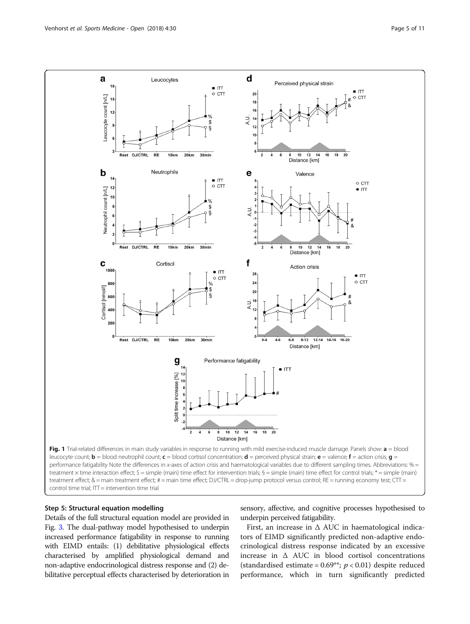<span id="page-4-0"></span>

## Step 5: Structural equation modelling

Details of the full structural equation model are provided in Fig. [3.](#page-7-0) The dual-pathway model hypothesised to underpin increased performance fatigability in response to running with EIMD entails: (1) debilitative physiological effects characterised by amplified physiological demand and non-adaptive endocrinological distress response and (2) debilitative perceptual effects characterised by deterioration in sensory, affective, and cognitive processes hypothesised to underpin perceived fatigability.

First, an increase in  $\Delta$  AUC in haematological indicators of EIMD significantly predicted non-adaptive endocrinological distress response indicated by an excessive increase in  $\Delta$  AUC in blood cortisol concentrations (standardised estimate =  $0.69$ \*\*;  $p < 0.01$ ) despite reduced performance, which in turn significantly predicted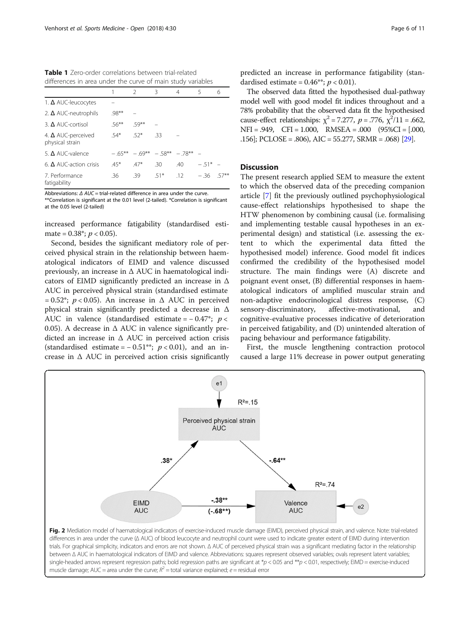<span id="page-5-0"></span>Table 1 Zero-order correlations between trial-related differences in area under the curve of main study variables

|                                              |          | $\mathcal{P}$                       | Β      | 4   | 5        | 6    |
|----------------------------------------------|----------|-------------------------------------|--------|-----|----------|------|
| 1. $\Delta$ AUC-leucocytes                   |          |                                     |        |     |          |      |
| 2. $\Delta$ AUC-neutrophils                  | $98**$   |                                     |        |     |          |      |
| 3. $\triangle$ AUC-cortisol                  | $.56***$ | $59**$                              |        |     |          |      |
| 4. $\Delta$ AUC-perceived<br>physical strain | $54*$    | $52*$                               | -33    |     |          |      |
| 5. $\Delta$ AUC-valence                      |          | $-65***$ $-69***$ $-58***$ $-78***$ |        |     |          |      |
| 6. $\triangle$ AUC-action crisis             | $45*$    | $47*$                               | .30    | .40 | $-51* -$ |      |
| 7. Performance<br>fatigability               | .36      | .39                                 | $.51*$ | .12 | $-.36$   | 57** |

Abbreviations: Δ AUC = trial-related difference in area under the curve. \*\*Correlation is significant at the 0.01 level (2-tailed). \*Correlation is significant at the 0.05 level (2-tailed)

increased performance fatigability (standardised estimate =  $0.38^*$ ;  $p < 0.05$ ).

Second, besides the significant mediatory role of perceived physical strain in the relationship between haematological indicators of EIMD and valence discussed previously, an increase in  $\Delta$  AUC in haematological indicators of EIMD significantly predicted an increase in Δ AUC in perceived physical strain (standardised estimate = 0.52<sup>\*</sup>;  $p < 0.05$ ). An increase in  $\triangle$  AUC in perceived physical strain significantly predicted a decrease in Δ AUC in valence (standardised estimate =  $-0.47$ \*;  $p <$ 0.05). A decrease in  $\Delta$  AUC in valence significantly predicted an increase in Δ AUC in perceived action crisis (standardised estimate =  $-0.51**$ ;  $p < 0.01$ ), and an increase in  $\Delta$  AUC in perceived action crisis significantly

The observed data fitted the hypothesised dual-pathway model well with good model fit indices throughout and a 78% probability that the observed data fit the hypothesised cause-effect relationships:  $\chi^2 = 7.277$ ,  $p = .776$ ,  $\chi^2/11 = .662$ , NFI = .949, CFI = 1.000, RMSEA = .000 (95%CI = [.000, .156]; PCLOSE = .806), AIC = 55.277, SRMR = .068) [\[29](#page-10-0)].

## Discussion

The present research applied SEM to measure the extent to which the observed data of the preceding companion article [\[7](#page-9-0)] fit the previously outlined psychophysiological cause-effect relationships hypothesised to shape the HTW phenomenon by combining causal (i.e. formalising and implementing testable causal hypotheses in an experimental design) and statistical (i.e. assessing the extent to which the experimental data fitted the hypothesised model) inference. Good model fit indices confirmed the credibility of the hypothesised model structure. The main findings were (A) discrete and poignant event onset, (B) differential responses in haematological indicators of amplified muscular strain and non-adaptive endocrinological distress response, (C) sensory-discriminatory, affective-motivational, and cognitive-evaluative processes indicative of deterioration in perceived fatigability, and (D) unintended alteration of pacing behaviour and performance fatigability.

First, the muscle lengthening contraction protocol caused a large 11% decrease in power output generating



Fig. 2 Mediation model of haematological indicators of exercise-induced muscle damage (EIMD), perceived physical strain, and valence. Note: trial-related differences in area under the curve (Δ AUC) of blood leucocyte and neutrophil count were used to indicate greater extent of EIMD during intervention trials. For graphical simplicity, indicators and errors are not shown. Δ AUC of perceived physical strain was a significant mediating factor in the relationship between Δ AUC in haematological indicators of EIMD and valence. Abbreviations: squares represent observed variables; ovals represent latent variables; single-headed arrows represent regression paths; bold regression paths are significant at  $*p < 0.05$  and  $**p < 0.01$ , respectively; EIMD = exercise-induced muscle damage; AUC = area under the curve;  $R^2$  = total variance explained; e = residual error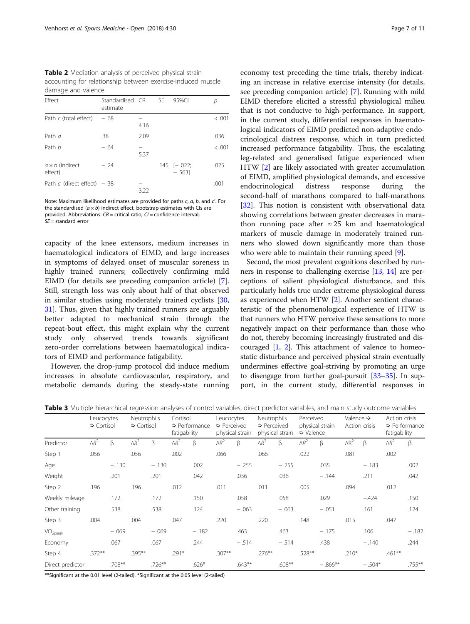<span id="page-6-0"></span>Table 2 Mediation analysis of perceived physical strain accounting for relationship between exercise-induced muscle damage and valence

| Effect                            | Standardised CR<br>estimate |      | SE. | 95%CI                        |         |
|-----------------------------------|-----------------------------|------|-----|------------------------------|---------|
| Path c (total effect)             | $-.68$                      | 4.16 |     |                              | < 0.001 |
| Path $a$                          | .38                         | 2.09 |     |                              | .036    |
| Path b                            | $-.64$                      | 5.37 |     |                              | < 0.001 |
| $a \times b$ (indirect<br>effect) | $-.24$                      |      |     | $.145$ $[-.022;$<br>$-.563]$ | .025    |
| Path $c'$ (direct effect) $- .38$ |                             | 3.22 |     |                              | .001    |

Note: Maximum likelihood estimates are provided for paths  $c$ ,  $a$ ,  $b$ , and  $c'$ . For the standardised ( $a \times b$ ) indirect effect, bootstrap estimates with CIs are provided. Abbreviations:  $CR =$  critical ratio:  $Cl =$  confidence interval:  $SE =$  standard error

capacity of the knee extensors, medium increases in haematological indicators of EIMD, and large increases in symptoms of delayed onset of muscular soreness in highly trained runners; collectively confirming mild EIMD (for details see preceding companion article) [\[7](#page-9-0)]. Still, strength loss was only about half of that observed in similar studies using moderately trained cyclists [[30](#page-10-0), [31\]](#page-10-0). Thus, given that highly trained runners are arguably better adapted to mechanical strain through the repeat-bout effect, this might explain why the current study only observed trends towards significant zero-order correlations between haematological indicators of EIMD and performance fatigability.

However, the drop-jump protocol did induce medium increases in absolute cardiovascular, respiratory, and metabolic demands during the steady-state running

economy test preceding the time trials, thereby indicating an increase in relative exercise intensity (for details, see preceding companion article) [\[7](#page-9-0)]. Running with mild EIMD therefore elicited a stressful physiological milieu that is not conducive to high-performance. In support, in the current study, differential responses in haematological indicators of EIMD predicted non-adaptive endocrinological distress response, which in turn predicted increased performance fatigability. Thus, the escalating leg-related and generalised fatigue experienced when HTW [\[2\]](#page-9-0) are likely associated with greater accumulation of EIMD, amplified physiological demands, and excessive endocrinological distress response during the second-half of marathons compared to half-marathons [[32\]](#page-10-0). This notion is consistent with observational data showing correlations between greater decreases in marathon running pace after  $\approx 25$  km and haematological markers of muscle damage in moderately trained runners who slowed down significantly more than those who were able to maintain their running speed [\[9](#page-9-0)].

Second, the most prevalent cognitions described by runners in response to challenging exercise [[13](#page-9-0), [14\]](#page-9-0) are perceptions of salient physiological disturbance, and this particularly holds true under extreme physiological duress as experienced when HTW [\[2](#page-9-0)]. Another sentient characteristic of the phenomenological experience of HTW is that runners who HTW perceive these sensations to more negatively impact on their performance than those who do not, thereby becoming increasingly frustrated and discouraged  $[1, 2]$  $[1, 2]$  $[1, 2]$  $[1, 2]$ . This attachment of valence to homeostatic disturbance and perceived physical strain eventually undermines effective goal-striving by promoting an urge to disengage from further goal-pursuit  $[33-35]$  $[33-35]$  $[33-35]$  $[33-35]$ . In support, in the current study, differential responses in

| Table 3 Multiple hierarchical regression analyses of control variables, direct predictor variables, and main study outcome variables |  |  |  |  |
|--------------------------------------------------------------------------------------------------------------------------------------|--|--|--|--|
|                                                                                                                                      |  |  |  |  |

|                     | Leucocytes<br>$\Diamond$ Cortisol |           | Neutrophils<br>$\Diamond$ Cortisol |           | Cortisol<br>$\Diamond$ Performance<br>fatigability |         | Leucocytes<br>$\Rightarrow$ Perceived<br>physical strain |          | Neutrophils<br>$\triangleright$ Perceived<br>physical strain |           | Perceived<br>physical strain<br>$\blacktriangleright$ Valence |           | Valence $\Diamond$<br>Action crisis |          | Action crisis<br>$\Diamond$ Performance<br>fatigability |         |
|---------------------|-----------------------------------|-----------|------------------------------------|-----------|----------------------------------------------------|---------|----------------------------------------------------------|----------|--------------------------------------------------------------|-----------|---------------------------------------------------------------|-----------|-------------------------------------|----------|---------------------------------------------------------|---------|
| Predictor           | $\Delta R^2$                      | $\beta$   | $\Delta R^2$                       | β         | $\Delta R^2$                                       | β       | $\Delta R^2$                                             | β        | $\Delta R^2$                                                 | β         | $\Delta R^2$                                                  | β         | $\Delta R^2$                        | ß        | $\Delta R^2$                                            | β       |
| Step 1              | .056                              |           | .056                               |           | .002                                               |         | .066                                                     |          | .066                                                         |           | .022                                                          |           | .081                                |          | .002                                                    |         |
| Age                 |                                   | $-.130$   |                                    | $-.130$   |                                                    | .002    |                                                          | $-.255$  |                                                              | $-.255$   |                                                               | .035      |                                     | $-.183$  |                                                         | .002    |
| Weight              |                                   | .201      |                                    | .201      |                                                    | .042    |                                                          | .036     |                                                              | .036      |                                                               | $-.144$   |                                     | .211     |                                                         | .042    |
| Step 2              | .196                              |           | .196                               |           | .012                                               |         | .011                                                     |          | .011                                                         |           | .005                                                          |           | .094                                |          | .012                                                    |         |
| Weekly mileage      |                                   | .172      |                                    | .172      |                                                    | .150    |                                                          | .058     |                                                              | .058      |                                                               | .029      |                                     | $-.424$  |                                                         | .150    |
| Other training      |                                   | .538      |                                    | .538      |                                                    | .124    |                                                          | $-.063$  |                                                              | $-.063$   |                                                               | $-.051$   |                                     | .161     |                                                         | .124    |
| Step 3              | .004                              |           | .004                               |           | .047                                               |         | .220                                                     |          | .220                                                         |           | .148                                                          |           | .015                                |          | .047                                                    |         |
| VO <sub>2peak</sub> |                                   | $-.069$   |                                    | $-.069$   |                                                    | $-.182$ |                                                          | .463     |                                                              | .463      |                                                               | $-.175$   |                                     | .106     |                                                         | $-.182$ |
| Economy             |                                   | .067      |                                    | .067      |                                                    | .244    |                                                          | $-.514$  |                                                              | $-.514$   |                                                               | .438      |                                     | $-.140$  |                                                         | .244    |
| Step 4              | $.372**$                          |           | $.395***$                          |           | $.291*$                                            |         | $.307**$                                                 |          | $.276***$                                                    |           | $.528**$                                                      |           | $.210*$                             |          | $.461***$                                               |         |
| Direct predictor    |                                   | $.708***$ |                                    | $.726***$ |                                                    | $.626*$ |                                                          | $.643**$ |                                                              | $.608***$ |                                                               | $-.866**$ |                                     | $-.504*$ |                                                         | .755**  |

\*\*Significant at the 0.01 level (2-tailed). \*Significant at the 0.05 level (2-tailed)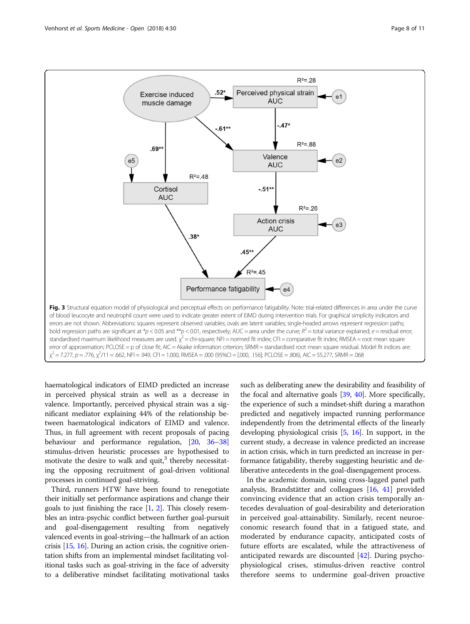<span id="page-7-0"></span>

bold regression paths are significant at \*p < 0.05 and \*\*p < 0.01, respectively; AUC = area under the curve;  $R^2$  = total variance explained; e = residual error; standardised maximum likelihood measures are used.  $\chi^2$  = chi-square; NFI = normed fit index; CFI = comparative fit index; RMSEA = root mean square error of approximation; PCLOSE = p of close fit; AIC = Akaike information criterion; SRMR = standardised root mean square residual. Model fit indices are:  $\chi^2$  = 7.277, p = .776,  $\chi^2$ /11 = .662, NFI = .949, CFI = 1.000, RMSEA = .000 (95%CI = [.000, .156]; PCLOSE = .806), AIC = 55.277, SRMR = .068

haematological indicators of EIMD predicted an increase in perceived physical strain as well as a decrease in valence. Importantly, perceived physical strain was a significant mediator explaining 44% of the relationship between haematological indicators of EIMD and valence. Thus, in full agreement with recent proposals of pacing behaviour and performance regulation, [[20,](#page-9-0) [36](#page-10-0)–[38](#page-10-0)] stimulus-driven heuristic processes are hypothesised to motivate the desire to walk and quit, $3$  thereby necessitating the opposing recruitment of goal-driven volitional processes in continued goal-striving.

Third, runners HTW have been found to renegotiate their initially set performance aspirations and change their goals to just finishing the race [\[1](#page-9-0), [2\]](#page-9-0). This closely resembles an intra-psychic conflict between further goal-pursuit and goal-disengagement resulting from negatively valenced events in goal-striving—the hallmark of an action crisis [[15,](#page-9-0) [16](#page-9-0)]. During an action crisis, the cognitive orientation shifts from an implemental mindset facilitating volitional tasks such as goal-striving in the face of adversity to a deliberative mindset facilitating motivational tasks

such as deliberating anew the desirability and feasibility of the focal and alternative goals [\[39,](#page-10-0) [40\]](#page-10-0). More specifically, the experience of such a mindset-shift during a marathon predicted and negatively impacted running performance independently from the detrimental effects of the linearly developing physiological crisis [[5,](#page-9-0) [16](#page-9-0)]. In support, in the current study, a decrease in valence predicted an increase in action crisis, which in turn predicted an increase in performance fatigability, thereby suggesting heuristic and deliberative antecedents in the goal-disengagement process.

In the academic domain, using cross-lagged panel path analysis, Brandstätter and colleagues [[16,](#page-9-0) [41\]](#page-10-0) provided convincing evidence that an action crisis temporally antecedes devaluation of goal-desirability and deterioration in perceived goal-attainability. Similarly, recent neuroeconomic research found that in a fatigued state, and moderated by endurance capacity, anticipated costs of future efforts are escalated, while the attractiveness of anticipated rewards are discounted [[42\]](#page-10-0). During psychophysiological crises, stimulus-driven reactive control therefore seems to undermine goal-driven proactive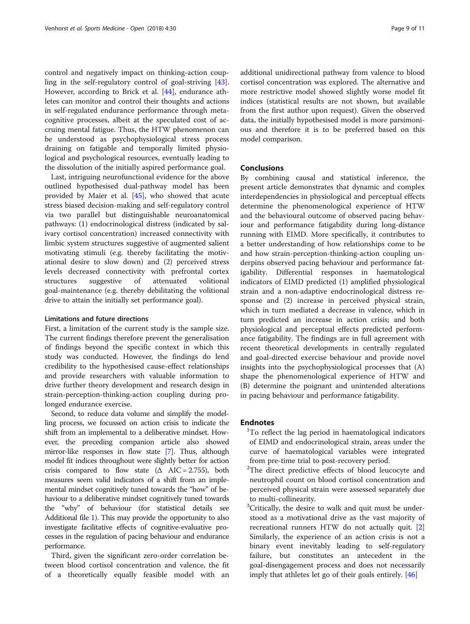control and negatively impact on thinking-action coupling in the self-regulatory control of goal-striving [\[43](#page-10-0)]. However, according to Brick et al. [\[44](#page-10-0)], endurance athletes can monitor and control their thoughts and actions in self-regulated endurance performance through metacognitive processes, albeit at the speculated cost of accruing mental fatigue. Thus, the HTW phenomenon can be understood as psychophysiological stress process draining on fatigable and temporally limited physiological and psychological resources, eventually leading to the dissolution of the initially aspired performance goal.

Last, intriguing neurofunctional evidence for the above outlined hypothesised dual-pathway model has been provided by Maier et al. [\[45](#page-10-0)], who showed that acute stress biased decision-making and self-regulatory control via two parallel but distinguishable neuroanatomical pathways: (1) endocrinological distress (indicated by salivary cortisol concentration) increased connectivity with limbic system structures suggestive of augmented salient motivating stimuli (e.g. thereby facilitating the motivational desire to slow down) and (2) perceived stress levels decreased connectivity with prefrontal cortex structures suggestive of attenuated volitional goal-maintenance (e.g. thereby debilitating the volitional drive to attain the initially set performance goal).

## Limitations and future directions

First, a limitation of the current study is the sample size. The current findings therefore prevent the generalisation of findings beyond the specific context in which this study was conducted. However, the findings do lend credibility to the hypothesised cause-effect relationships and provide researchers with valuable information to drive further theory development and research design in strain-perception-thinking-action coupling during prolonged endurance exercise.

Second, to reduce data volume and simplify the modelling process, we focussed on action crisis to indicate the shift from an implemental to a deliberative mindset. However, the preceding companion article also showed mirror-like responses in flow state [\[7\]](#page-9-0). Thus, although model fit indices throughout were slightly better for action crisis compared to flow state  $(\Delta \text{ AIC} = 2.755)$ , both measures seem valid indicators of a shift from an implemental mindset cognitively tuned towards the "how" of behaviour to a deliberative mindset cognitively tuned towards the "why" of behaviour (for statistical details see Additional file [1](#page-9-0)). This may provide the opportunity to also investigate facilitative effects of cognitive-evaluative processes in the regulation of pacing behaviour and endurance performance.

Third, given the significant zero-order correlation between blood cortisol concentration and valence, the fit of a theoretically equally feasible model with an

additional unidirectional pathway from valence to blood cortisol concentration was explored. The alternative and more restrictive model showed slightly worse model fit indices (statistical results are not shown, but available from the first author upon request). Given the observed data, the initially hypothesised model is more parsimonious and therefore it is to be preferred based on this model comparison.

## Conclusions

By combining causal and statistical inference, the present article demonstrates that dynamic and complex interdependencies in physiological and perceptual effects determine the phenomenological experience of HTW and the behavioural outcome of observed pacing behaviour and performance fatigability during long-distance running with EIMD. More specifically, it contributes to a better understanding of how relationships come to be and how strain-perception-thinking-action coupling underpins observed pacing behaviour and performance fatigability. Differential responses in haematological indicators of EIMD predicted (1) amplified physiological strain and a non-adaptive endocrinological distress response and (2) increase in perceived physical strain, which in turn mediated a decrease in valence, which in turn predicted an increase in action crisis; and both physiological and perceptual effects predicted performance fatigability. The findings are in full agreement with recent theoretical developments in centrally regulated and goal-directed exercise behaviour and provide novel insights into the psychophysiological processes that (A) shape the phenomenological experience of HTW and (B) determine the poignant and unintended alterations in pacing behaviour and performance fatigability.

## **Endnotes**

- <sup>1</sup>To reflect the lag period in haematological indicators of EIMD and endocrinological strain, areas under the curve of haematological variables were integrated from pre-time trial to post-recovery period.
- <sup>2</sup>The direct predictive effects of blood leucocyte and neutrophil count on blood cortisol concentration and perceived physical strain were assessed separately due to multi-collinearity.
- <sup>3</sup>Critically, the desire to walk and quit must be understood as a motivational drive as the vast majority of recreational runners HTW do not actually quit. [\[2](#page-9-0)] Similarly, the experience of an action crisis is not a binary event inevitably leading to self-regulatory failure, but constitutes an antecedent in the goal-disengagement process and does not necessarily imply that athletes let go of their goals entirely. [[46](#page-10-0)]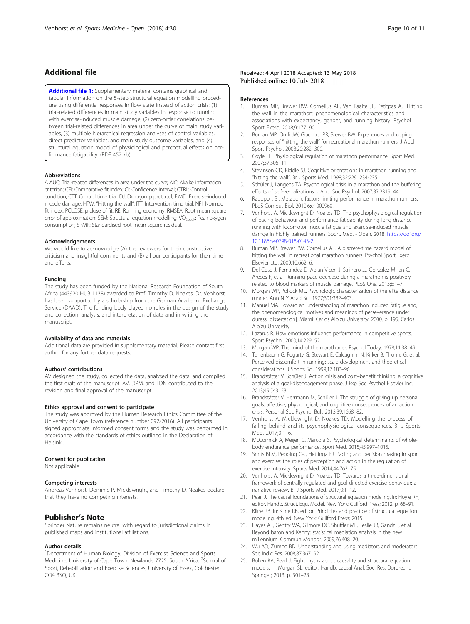## <span id="page-9-0"></span>Additional file

[Additional file 1:](https://doi.org/10.1186/s40798-018-0144-1) Supplementary material contains graphical and tabular information on the 5-step structural equation modelling procedure using differential responses in flow state instead of action crisis: (1) trial-related differences in main study variables in response to running with exercise-induced muscle damage, (2) zero-order correlations between trial-related differences in area under the curve of main study variables, (3) multiple hierarchical regression analyses of control variables, direct predictor variables, and main study outcome variables, and (4) structural equation model of physiological and percpetual effects on performance fatigability. (PDF 452 kb)

### Abbreviations

Δ AUC: Trial-related differences in area under the curve; AIC: Akaike information criterion; CFI: Comparative fit index; CI: Confidence interval; CTRL: Control condition; CTT: Control time trial; DJ: Drop-jump protocol; EIMD: Exercise-induced muscle damage; HTW: "Hitting the wall"; ITT: Intervention time trial; NFI: Normed fit index; PCLOSE: p close of fit; RE: Running economy; RMSEA: Root mean square error of approximation; SEM: Structural equation modelling; VO<sub>2peak</sub>: Peak oxygen consumption; SRMR: Standardised root mean square residual.

#### Acknowledgements

We would like to acknowledge (A) the reviewers for their constructive criticism and insightful comments and (B) all our participants for their time and efforts.

#### Funding

The study has been funded by the National Research Foundation of South Africa (443920 HUB 1138) awarded to Prof. Timothy D. Noakes. Dr. Venhorst has been supported by a scholarship from the German Academic Exchange Service (DAAD). The funding body played no roles in the design of the study and collection, analysis, and interpretation of data and in writing the manuscript.

#### Availability of data and materials

Additional data are provided in supplementary material. Please contact first author for any further data requests.

#### Authors' contributions

AV designed the study, collected the data, analysed the data, and compiled the first draft of the manuscript. AV, DPM, and TDN contributed to the revision and final approval of the manuscript.

#### Ethics approval and consent to participate

The study was approved by the Human Research Ethics Committee of the University of Cape Town (reference number 092/2016). All participants signed appropriate informed consent forms and the study was performed in accordance with the standards of ethics outlined in the Declaration of Helsinki.

#### Consent for publication

Not applicable

#### Competing interests

Andreas Venhorst, Dominic P. Micklewright, and Timothy D. Noakes declare that they have no competing interests.

### Publisher's Note

Springer Nature remains neutral with regard to jurisdictional claims in published maps and institutional affiliations.

#### Author details

<sup>1</sup>Department of Human Biology, Division of Exercise Science and Sports Medicine, University of Cape Town, Newlands 7725, South Africa. <sup>2</sup>School of Sport, Rehabilitation and Exercise Sciences, University of Essex, Colchester CO4 3SQ, UK.

#### Received: 4 April 2018 Accepted: 13 May 2018 Published online: 10 July 2018

#### References

- 1. Buman MP, Brewer BW, Cornelius AE, Van Raalte JL, Petitpas AJ. Hitting the wall in the marathon: phenomenological characteristics and associations with expectancy, gender, and running history. Psychol Sport Exerc. 2008;9:177–90.
- 2. Buman MP, Omli JW, Giacobbi PR, Brewer BW. Experiences and coping responses of "hitting the wall" for recreational marathon runners. J Appl Sport Psychol. 2008;20:282–300.
- 3. Coyle EF. Physiological regulation of marathon performance. Sport Med. 2007;37:306–11.
- 4. Stevinson CD, Biddle SJ. Cognitive orientations in marathon running and "hitting the wall". Br J Sports Med. 1998;32:229–234-235.
- 5. Schüler J, Langens TA. Psychological crisis in a marathon and the buffering effects of self-verbalizations. J Appl Soc Psychol. 2007;37:2319–44.
- 6. Rapoport BI. Metabolic factors limiting performance in marathon runners. PLoS Comput Biol. 2010;6:e1000960.
- 7. Venhorst A, Micklewright D, Noakes TD. The psychophysiological regulation of pacing behaviour and performance fatigability during long-distance running with locomotor muscle fatigue and exercise-induced muscle damge in highly trained runners. Sport. Med. - Open. 2018. [https://doi.org/](https://doi.org/10.1186/s40798-018-0143-2) [10.1186/s40798-018-0143-2](https://doi.org/10.1186/s40798-018-0143-2).
- 8. Buman MP, Brewer BW, Cornelius AE. A discrete-time hazard model of hitting the wall in recreational marathon runners. Psychol Sport Exerc Elsevier Ltd. 2009;10:662–6.
- Del Coso J, Fernandez D, Abian-Vicen J, Salinero JJ, Gonzalez-Millan C, Areces F, et al. Running pace decrease during a marathon is positively related to blood markers of muscle damage. PLoS One. 2013;8:1–7.
- 10. Morgan WP, Pollock ML. Psychologic characterization of the elite distance runner. Ann N Y Acad Sci. 1977;301:382–403.
- 11. Manuel MA. Toward an understanding of marathon induced fatigue and, the phenomenological motives and meanings of perseverance under duress [dissertation]. Miami: Carlos Albizu University; 2000. p. 195. Carlos Albizu University
- 12. Lazarus R. How emotions influence performance in competitive sports. Sport Psychol. 2000;14:229–52.
- 13. Morgan WP. The mind of the marathoner. Psychol Today. 1978;11:38–49.
- 14. Tenenbaum G, Fogarty G, Stewart E, Calcagnini N, Kirker B, Thorne G, et al. Perceived discomfort in running: scale development and theoretical considerations. J Sports Sci. 1999;17:183–96.
- 15. Brandstätter V, Schüler J. Action crisis and cost–benefit thinking: a cognitive analysis of a goal-disengagement phase. J Exp Soc Psychol Elsevier Inc. 2013;49:543–53.
- 16. Brandstätter V, Herrmann M, Schüler J. The struggle of giving up personal goals: affective, physiological, and cognitive consequences of an action crisis. Personal Soc Psychol Bull. 2013;39:1668–82.
- 17. Venhorst A, Micklewright D, Noakes TD. Modelling the process of falling behind and its psychophysiological consequences. Br J Sports Med. 2017;0:1–6.
- 18. McCormick A, Meijen C, Marcora S. Psychological determinants of wholebody endurance performance. Sport Med. 2015;45:997–1015.
- 19. Smits BLM, Pepping G-J, Hettinga FJ. Pacing and decision making in sport and exercise: the roles of perception and action in the regulation of exercise intensity. Sports Med. 2014;44:763–75.
- 20. Venhorst A, Micklewright D, Noakes TD. Towards a three-dimensional framework of centrally regulated and goal-directed exercise behaviour: a narrative review. Br J Sports Med. 2017;0:1–12.
- 21. Pearl J. The causal foundations of structural equation modeling. In: Hoyle RH, editor. Handb. Struct. Equ. Model. New York: Guilford Press; 2012. p. 68–91.
- 22. Kline RB. In: Kline RB, editor. Principles and practice of structural equation modeling. 4th ed. New York: Guilford Press; 2015.
- 23. Hayes AF, Gentry WA, Gilmore DC, Shuffler ML, Leslie JB, Gandz J, et al. Beyond baron and Kenny: statistical mediation analysis in the new millennium. Commun Monogr. 2009;76:408–20.
- 24. Wu AD, Zumbo BD. Understanding and using mediators and moderators. Soc Indic Res. 2008;87:367–92.
- 25. Bollen KA, Pearl J. Eight myths about causality and structural equation models. In: Morgan SL, editor. Handb. causal Anal. Soc. Res. Dordrecht: Springer; 2013. p. 301–28.